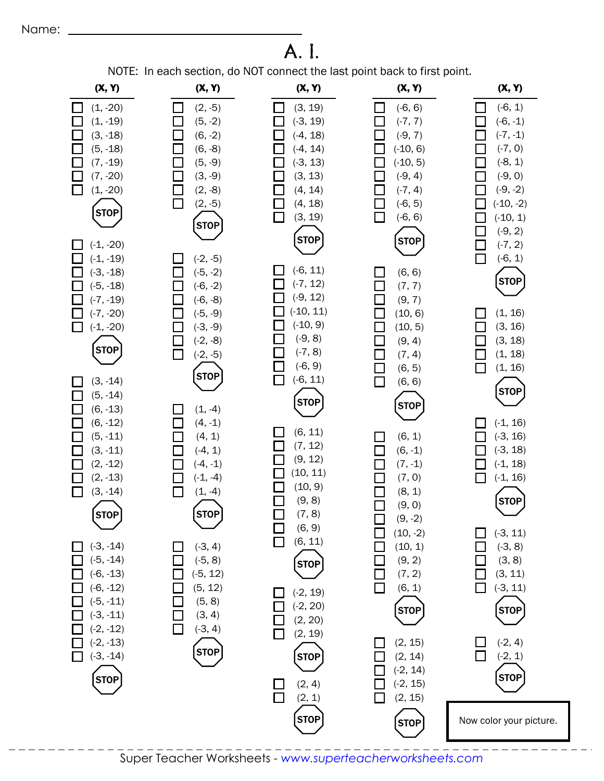## A. I.

NOTE: In each section, do NOT connect the last point back to first point.

| (X, Y)                                                                                                                                                                                                                                                                                                                                                                                                                  | (X, Y)                                                                                                                                                                                                                                                                                                                                                                                                                                                              | (X, Y)                                                                                                                                                                                                                                                                                                                                                      | (X, Y)                                                                                                                                                                                                                                                                                                                                                                                                                                                      | (X, Y)                                                                                                                                                                                                                                                                                                                           |
|-------------------------------------------------------------------------------------------------------------------------------------------------------------------------------------------------------------------------------------------------------------------------------------------------------------------------------------------------------------------------------------------------------------------------|---------------------------------------------------------------------------------------------------------------------------------------------------------------------------------------------------------------------------------------------------------------------------------------------------------------------------------------------------------------------------------------------------------------------------------------------------------------------|-------------------------------------------------------------------------------------------------------------------------------------------------------------------------------------------------------------------------------------------------------------------------------------------------------------------------------------------------------------|-------------------------------------------------------------------------------------------------------------------------------------------------------------------------------------------------------------------------------------------------------------------------------------------------------------------------------------------------------------------------------------------------------------------------------------------------------------|----------------------------------------------------------------------------------------------------------------------------------------------------------------------------------------------------------------------------------------------------------------------------------------------------------------------------------|
| $(1, -20)$<br>$(1, -19)$<br>$(3, -18)$<br>$(5, -18)$<br>$(7, -19)$<br>$(7, -20)$<br>$(1, -20)$<br><b>STOP</b>                                                                                                                                                                                                                                                                                                           | $(2, -5)$<br>$\Box$<br>$(5, -2)$<br>$\mathsf{L}$<br>$(6, -2)$<br>$\overline{\phantom{a}}$<br>$(6, -8)$<br>$\overline{\phantom{a}}$<br>$(5, -9)$<br>$\mathcal{L}$<br>$\Box$<br>$(3, -9)$<br>□<br>$(2, -8)$<br>$\Box$<br>$(2, -5)$<br><b>STOP</b>                                                                                                                                                                                                                     | (3, 19)<br>$\Box$<br>$(-3, 19)$<br>$(-4, 18)$<br>$(-4, 14)$<br>$(-3, 13)$<br>(3, 13)<br>(4, 14)<br>(4, 18)<br>(3, 19)                                                                                                                                                                                                                                       | $(-6, 6)$<br>$\Box$<br>$(-7, 7)$<br>П<br>$(-9, 7)$<br>$(-10, 6)$<br>$(-10, 5)$<br>$\Box$<br>$(-9, 4)$<br>$(-7, 4)$<br>$\Box$<br>$(-6, 5)$<br>П<br>П<br>$(-6, 6)$                                                                                                                                                                                                                                                                                            | $(-6, 1)$<br>l I<br>$(-6, -1)$<br>$(-7, -1)$<br>$(-7, 0)$<br>$(-8, 1)$<br>$(-9, 0)$<br>$(-9, -2)$<br>$(-10, -2)$<br>$(-10, 1)$<br>$(-9, 2)$                                                                                                                                                                                      |
| $(-1, -20)$<br>$(-1, -19)$<br>$(-3, -18)$<br>$(-5, -18)$<br>$(-7, -19)$<br>$(-7, -20)$<br>$(-1, -20)$<br><b>STOP</b><br>$(3, -14)$<br>$(5, -14)$<br>$(6, -13)$<br>$(6, -12)$<br>$(5, -11)$<br>$(3, -11)$<br>$(2, -12)$<br>$(2, -13)$<br>$(3, -14)$<br><b>STOP</b><br>$(-3, -14)$<br>$(-5, -14)$<br>$(-6, -13)$<br>$(-6, -12)$<br>$(-5, -11)$<br>$(-3, -11)$<br>$(-2, -12)$<br>$(-2, -13)$<br>$(-3, -14)$<br><b>STOP</b> | $(-2, -5)$<br>$(-5, -2)$<br>$\Box$<br>$(-6, -2)$<br>l I<br>$(-6, -8)$<br>$(-5, -9)$<br>$\mathcal{L}_{\mathcal{A}}$<br>$(-3, -9)$<br>$\Box$<br>$(-2, -8)$<br>$\Box$<br>$(-2, -5)$<br><b>STOP</b><br>$(1, -4)$<br>$(4, -1)$<br>(4, 1)<br>$(-4, 1)$<br>$(-4, -1)$<br>$\Box$<br>$(-1, -4)$<br>$\mathcal{L}_{\mathcal{A}}$<br>$(1, -4)$<br>П<br><b>STOP</b><br>$(-3, 4)$<br>$(-5, 8)$<br>$(-5, 12)$<br>(5, 12)<br>(5, 8)<br>(3, 4)<br>$(-3, 4)$<br>$\Box$<br><b>STOP</b> | <b>STOP</b><br>$(-6, 11)$<br>$(-7, 12)$<br>$(-9, 12)$<br>$(-10, 11)$<br>$(-10, 9)$<br>$(-9, 8)$<br>$(-7, 8)$<br>$(-6, 9)$<br>$\Box$<br>$(-6, 11)$<br><b>STOP</b><br>(6, 11)<br>(7, 12)<br>(9, 12)<br>(10, 11)<br>(10, 9)<br>(9, 8)<br>(7, 8)<br>(6, 9)<br>(6, 11)<br><b>STOP</b><br>$(-2, 19)$<br>$(-2, 20)$<br>(2, 20)<br>(2, 19)<br><b>STOP</b><br>(2, 4) | <b>STOP</b><br>(6, 6)<br>$\Box$<br>П<br>(7, 7)<br>(9, 7)<br>(10, 6)<br>$\Box$<br>$\Box$<br>(10, 5)<br>$\Box$<br>(9, 4)<br>$\Box$<br>(7, 4)<br>$\Box$<br>(6, 5)<br>П<br>(6, 6)<br><b>STOP</b><br>(6, 1)<br>$\Box$<br>$\Box$<br>$(6, -1)$<br>$(7, -1)$<br>$\Box$<br>(7, 0)<br>$\Box$<br>(8, 1)<br>(9, 0)<br>$(9, -2)$<br>$(10, -2)$<br>(10, 1)<br>(9, 2)<br>(7, 2)<br>П<br>(6, 1)<br><b>STOP</b><br>(2, 15)<br>(2, 14)<br>$(-2, 14)$<br>$(-2, 15)$<br>(2, 15) | $(-7, 2)$<br>$(-6, 1)$<br>П<br><b>STOP</b><br>(1, 16)<br>(3, 16)<br>(3, 18)<br>(1, 18)<br>(1, 16)<br>П<br><b>STOP</b><br>$(-1, 16)$<br>$(-3, 16)$<br>$(-3, 18)$<br>$(-1, 18)$<br>$(-1, 16)$<br><b>STOP</b><br>$(-3, 11)$<br>$(-3, 8)$<br>(3, 8)<br>(3, 11)<br>$(-3, 11)$<br><b>STOP</b><br>$(-2, 4)$<br>$(-2, 1)$<br><b>STOP</b> |
|                                                                                                                                                                                                                                                                                                                                                                                                                         |                                                                                                                                                                                                                                                                                                                                                                                                                                                                     | (2, 1)<br><b>STOP</b>                                                                                                                                                                                                                                                                                                                                       | <b>STOP</b>                                                                                                                                                                                                                                                                                                                                                                                                                                                 | Now color your picture.                                                                                                                                                                                                                                                                                                          |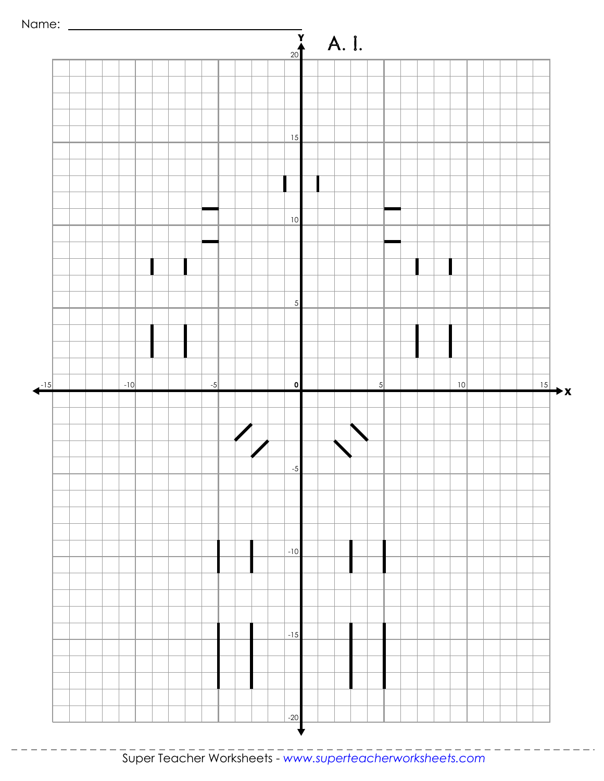



 $- - - -$ 

 $- - - - - -$